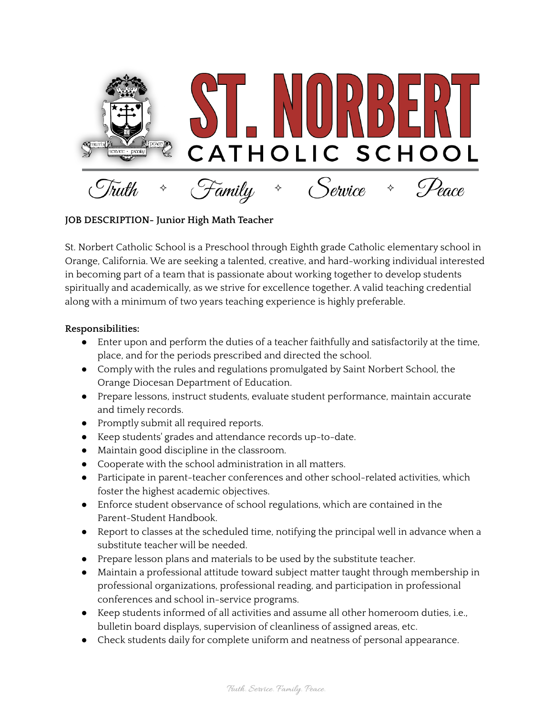

## **JOB DESCRIPTION- Junior High Math Teacher**

St. Norbert Catholic School is a Preschool through Eighth grade Catholic elementary school in Orange, California. We are seeking a talented, creative, and hard-working individual interested in becoming part of a team that is passionate about working together to develop students spiritually and academically, as we strive for excellence together. A valid teaching credential along with a minimum of two years teaching experience is highly preferable.

## **Responsibilities:**

- Enter upon and perform the duties of a teacher faithfully and satisfactorily at the time, place, and for the periods prescribed and directed the school.
- Comply with the rules and regulations promulgated by Saint Norbert School, the Orange Diocesan Department of Education.
- Prepare lessons, instruct students, evaluate student performance, maintain accurate and timely records.
- Promptly submit all required reports.
- Keep students' grades and attendance records up-to-date.
- Maintain good discipline in the classroom.
- Cooperate with the school administration in all matters.
- Participate in parent-teacher conferences and other school-related activities, which foster the highest academic objectives.
- Enforce student observance of school regulations, which are contained in the Parent-Student Handbook.
- Report to classes at the scheduled time, notifying the principal well in advance when a substitute teacher will be needed.
- Prepare lesson plans and materials to be used by the substitute teacher.
- Maintain a professional attitude toward subject matter taught through membership in professional organizations, professional reading, and participation in professional conferences and school in-service programs.
- Keep students informed of all activities and assume all other homeroom duties, i.e., bulletin board displays, supervision of cleanliness of assigned areas, etc.
- Check students daily for complete uniform and neatness of personal appearance.